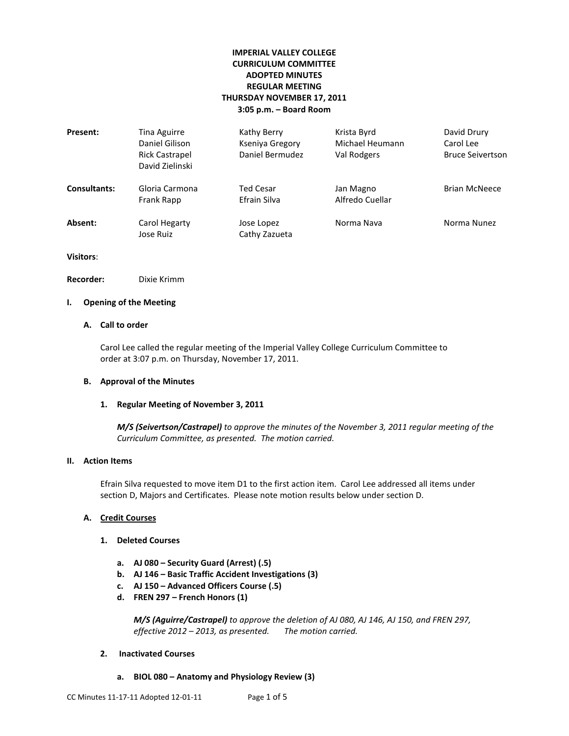# **IMPERIAL VALLEY COLLEGE CURRICULUM COMMITTEE ADOPTED MINUTES REGULAR MEETING THURSDAY NOVEMBER 17, 2011 3:05 p.m. – Board Room**

| Present:            | Tina Aguirre<br>Daniel Gilison<br><b>Rick Castrapel</b><br>David Zielinski | Kathy Berry<br>Kseniya Gregory<br>Daniel Bermudez | Krista Byrd<br>Michael Heumann<br>Val Rodgers | David Drury<br>Carol Lee<br><b>Bruce Seivertson</b> |
|---------------------|----------------------------------------------------------------------------|---------------------------------------------------|-----------------------------------------------|-----------------------------------------------------|
| <b>Consultants:</b> | Gloria Carmona<br>Frank Rapp                                               | Ted Cesar<br>Efrain Silva                         | Jan Magno<br>Alfredo Cuellar                  | <b>Brian McNeece</b>                                |
| Absent:             | Carol Hegarty<br>Jose Ruiz                                                 | Jose Lopez<br>Cathy Zazueta                       | Norma Nava                                    | Norma Nunez                                         |

**Visitors**:

**Recorder:** Dixie Krimm

# **I. Opening of the Meeting**

# **A. Call to order**

Carol Lee called the regular meeting of the Imperial Valley College Curriculum Committee to order at 3:07 p.m. on Thursday, November 17, 2011.

#### **B. Approval of the Minutes**

#### **1. Regular Meeting of November 3, 2011**

*M/S (Seivertson/Castrapel) to approve the minutes of the November 3, 2011 regular meeting of the Curriculum Committee, as presented. The motion carried.*

### **II. Action Items**

Efrain Silva requested to move item D1 to the first action item. Carol Lee addressed all items under section D, Majors and Certificates. Please note motion results below under section D.

## **A. Credit Courses**

#### **1. Deleted Courses**

- **a. AJ 080 – Security Guard (Arrest) (.5)**
- **b. AJ 146 – Basic Traffic Accident Investigations (3)**
- **c. AJ 150 – Advanced Officers Course (.5)**
- **d. FREN 297 – French Honors (1)**

*M/S (Aguirre/Castrapel) to approve the deletion of AJ 080, AJ 146, AJ 150, and FREN 297, effective 2012 – 2013, as presented. The motion carried.*

## **2. Inactivated Courses**

**a. BIOL 080 – Anatomy and Physiology Review (3)**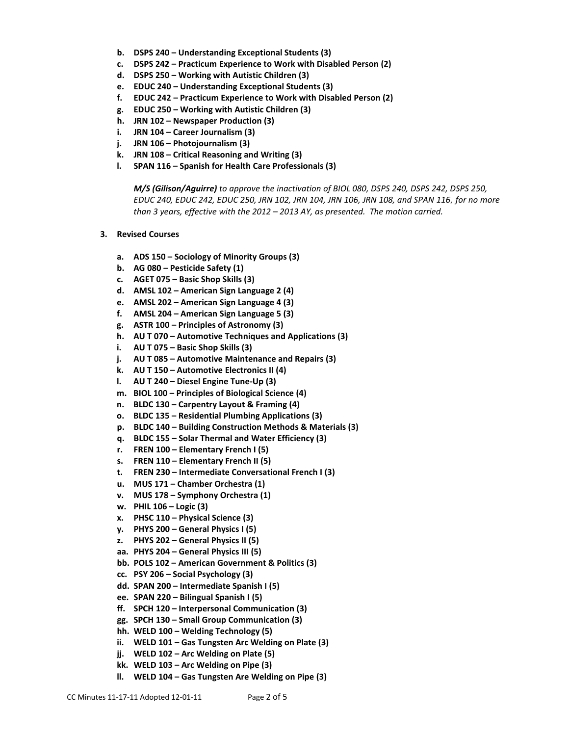- **b. DSPS 240 – Understanding Exceptional Students (3)**
- **c. DSPS 242 – Practicum Experience to Work with Disabled Person (2)**
- **d. DSPS 250 – Working with Autistic Children (3)**
- **e. EDUC 240 – Understanding Exceptional Students (3)**
- **f. EDUC 242 – Practicum Experience to Work with Disabled Person (2)**
- **g. EDUC 250 – Working with Autistic Children (3)**
- **h. JRN 102 – Newspaper Production (3)**
- **i. JRN 104 – Career Journalism (3)**
- **j. JRN 106 – Photojournalism (3)**
- **k. JRN 108 – Critical Reasoning and Writing (3)**
- **l. SPAN 116 – Spanish for Health Care Professionals (3)**

*M/S (Gilison/Aguirre) to approve the inactivation of BIOL 080, DSPS 240, DSPS 242, DSPS 250, EDUC 240, EDUC 242, EDUC 250, JRN 102, JRN 104, JRN 106, JRN 108, and SPAN 116, for no more than 3 years, effective with the 2012 – 2013 AY, as presented. The motion carried.*

- **3. Revised Courses**
	- **a. ADS 150 – Sociology of Minority Groups (3)**
	- **b. AG 080 – Pesticide Safety (1)**
	- **c. AGET 075 – Basic Shop Skills (3)**
	- **d. AMSL 102 – American Sign Language 2 (4)**
	- **e. AMSL 202 – American Sign Language 4 (3)**
	- **f. AMSL 204 – American Sign Language 5 (3)**
	- **g. ASTR 100 – Principles of Astronomy (3)**
	- **h. AU T 070 – Automotive Techniques and Applications (3)**
	- **i. AU T 075 – Basic Shop Skills (3)**
	- **j. AU T 085 – Automotive Maintenance and Repairs (3)**
	- **k. AU T 150 – Automotive Electronics II (4)**
	- **l. AU T 240 – Diesel Engine Tune-Up (3)**
	- **m. BIOL 100 – Principles of Biological Science (4)**
	- **n. BLDC 130 – Carpentry Layout & Framing (4)**
	- **o. BLDC 135 – Residential Plumbing Applications (3)**
	- **p. BLDC 140 – Building Construction Methods & Materials (3)**
	- **q. BLDC 155 – Solar Thermal and Water Efficiency (3)**
	- **r. FREN 100 – Elementary French I (5)**
	- **s. FREN 110 – Elementary French II (5)**
	- **t. FREN 230 – Intermediate Conversational French I (3)**
	- **u. MUS 171 – Chamber Orchestra (1)**
	- **v. MUS 178 – Symphony Orchestra (1)**
	- **w. PHIL 106 – Logic (3)**
	- **x. PHSC 110 – Physical Science (3)**
	- **y. PHYS 200 – General Physics I (5)**
	- **z. PHYS 202 – General Physics II (5)**
	- **aa. PHYS 204 – General Physics III (5)**
	- **bb. POLS 102 – American Government & Politics (3)**
	- **cc. PSY 206 – Social Psychology (3)**
	- **dd. SPAN 200 – Intermediate Spanish I (5)**
	- **ee. SPAN 220 – Bilingual Spanish I (5)**
	- **ff. SPCH 120 – Interpersonal Communication (3)**
	- **gg. SPCH 130 – Small Group Communication (3)**
	- **hh. WELD 100 – Welding Technology (5)**
	- **ii. WELD 101 – Gas Tungsten Arc Welding on Plate (3)**
	- **jj. WELD 102 – Arc Welding on Plate (5)**
	- **kk. WELD 103 – Arc Welding on Pipe (3)**
	- **ll. WELD 104 – Gas Tungsten Are Welding on Pipe (3)**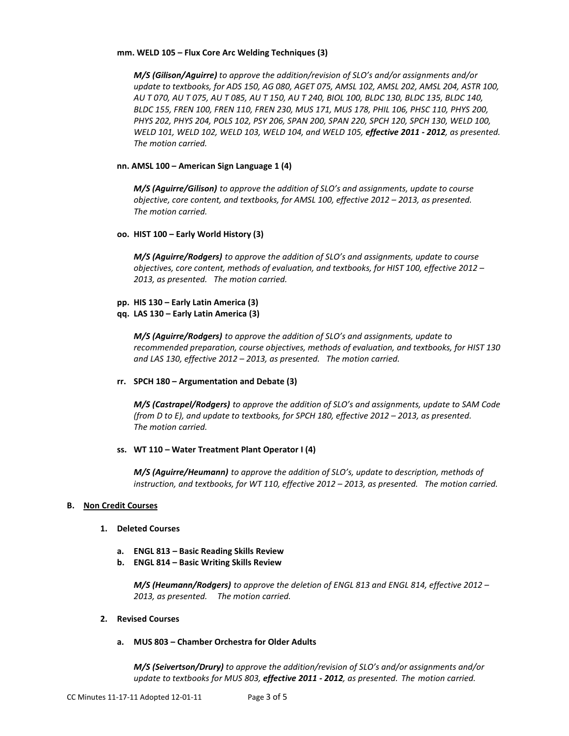#### **mm. WELD 105 – Flux Core Arc Welding Techniques (3)**

*M/S (Gilison/Aguirre) to approve the addition/revision of SLO's and/or assignments and/or update to textbooks, for ADS 150, AG 080, AGET 075, AMSL 102, AMSL 202, AMSL 204, ASTR 100, AU T 070, AU T 075, AU T 085, AU T 150, AU T 240, BIOL 100, BLDC 130, BLDC 135, BLDC 140, BLDC 155, FREN 100, FREN 110, FREN 230, MUS 171, MUS 178, PHIL 106, PHSC 110, PHYS 200, PHYS 202, PHYS 204, POLS 102, PSY 206, SPAN 200, SPAN 220, SPCH 120, SPCH 130, WELD 100, WELD 101, WELD 102, WELD 103, WELD 104, and WELD 105, effective 2011 - 2012, as presented. The motion carried.*

## **nn. AMSL 100 – American Sign Language 1 (4)**

*M/S (Aguirre/Gilison) to approve the addition of SLO's and assignments, update to course objective, core content, and textbooks, for AMSL 100, effective 2012 – 2013, as presented. The motion carried.*

## **oo. HIST 100 – Early World History (3)**

*M/S (Aguirre/Rodgers) to approve the addition of SLO's and assignments, update to course objectives, core content, methods of evaluation, and textbooks, for HIST 100, effective 2012 – 2013, as presented. The motion carried.*

- **pp. HIS 130 – Early Latin America (3)**
- **qq. LAS 130 – Early Latin America (3)**

*M/S (Aguirre/Rodgers) to approve the addition of SLO's and assignments, update to recommended preparation, course objectives, methods of evaluation, and textbooks, for HIST 130 and LAS 130, effective 2012 – 2013, as presented. The motion carried.*

**rr. SPCH 180 – Argumentation and Debate (3)**

*M/S (Castrapel/Rodgers) to approve the addition of SLO's and assignments, update to SAM Code (from D to E), and update to textbooks, for SPCH 180, effective 2012 – 2013, as presented. The motion carried.*

## **ss. WT 110 – Water Treatment Plant Operator I (4)**

*M/S (Aguirre/Heumann) to approve the addition of SLO's, update to description, methods of instruction, and textbooks, for WT 110, effective 2012 – 2013, as presented. The motion carried.*

## **B. Non Credit Courses**

- **1. Deleted Courses**
	- **a. ENGL 813 – Basic Reading Skills Review**
	- **b. ENGL 814 – Basic Writing Skills Review**

*M/S (Heumann/Rodgers) to approve the deletion of ENGL 813 and ENGL 814, effective 2012 – 2013, as presented. The motion carried.*

#### **2. Revised Courses**

**a. MUS 803 – Chamber Orchestra for Older Adults**

*M/S (Seivertson/Drury) to approve the addition/revision of SLO's and/or assignments and/or update to textbooks for MUS 803, effective 2011 - 2012, as presented. The motion carried.*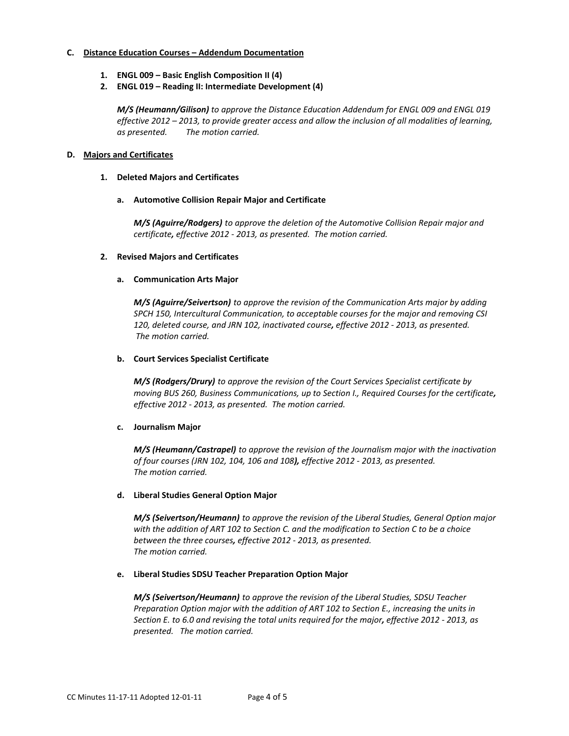## **C. Distance Education Courses – Addendum Documentation**

- **1. ENGL 009 – Basic English Composition II (4)**
- **2. ENGL 019 – Reading II: Intermediate Development (4)**

*M/S (Heumann/Gilison) to approve the Distance Education Addendum for ENGL 009 and ENGL 019 effective 2012 – 2013, to provide greater access and allow the inclusion of all modalities of learning, as presented. The motion carried.*

#### **D. Majors and Certificates**

#### **1. Deleted Majors and Certificates**

#### **a. Automotive Collision Repair Major and Certificate**

*M/S (Aguirre/Rodgers) to approve the deletion of the Automotive Collision Repair major and certificate, effective 2012 - 2013, as presented. The motion carried.*

#### **2. Revised Majors and Certificates**

#### **a. Communication Arts Major**

*M/S (Aguirre/Seivertson) to approve the revision of the Communication Arts major by adding SPCH 150, Intercultural Communication, to acceptable courses for the major and removing CSI 120, deleted course, and JRN 102, inactivated course, effective 2012 - 2013, as presented. The motion carried.*

#### **b. Court Services Specialist Certificate**

*M/S (Rodgers/Drury) to approve the revision of the Court Services Specialist certificate by moving BUS 260, Business Communications, up to Section I., Required Courses for the certificate, effective 2012 - 2013, as presented. The motion carried.*

#### **c. Journalism Major**

*M/S (Heumann/Castrapel) to approve the revision of the Journalism major with the inactivation of four courses (JRN 102, 104, 106 and 108), effective 2012 - 2013, as presented. The motion carried.*

#### **d. Liberal Studies General Option Major**

*M/S (Seivertson/Heumann) to approve the revision of the Liberal Studies, General Option major with the addition of ART 102 to Section C. and the modification to Section C to be a choice between the three courses, effective 2012 - 2013, as presented. The motion carried.*

#### **e. Liberal Studies SDSU Teacher Preparation Option Major**

*M/S (Seivertson/Heumann) to approve the revision of the Liberal Studies, SDSU Teacher Preparation Option major with the addition of ART 102 to Section E., increasing the units in Section E. to 6.0 and revising the total units required for the major, effective 2012 - 2013, as presented. The motion carried.*